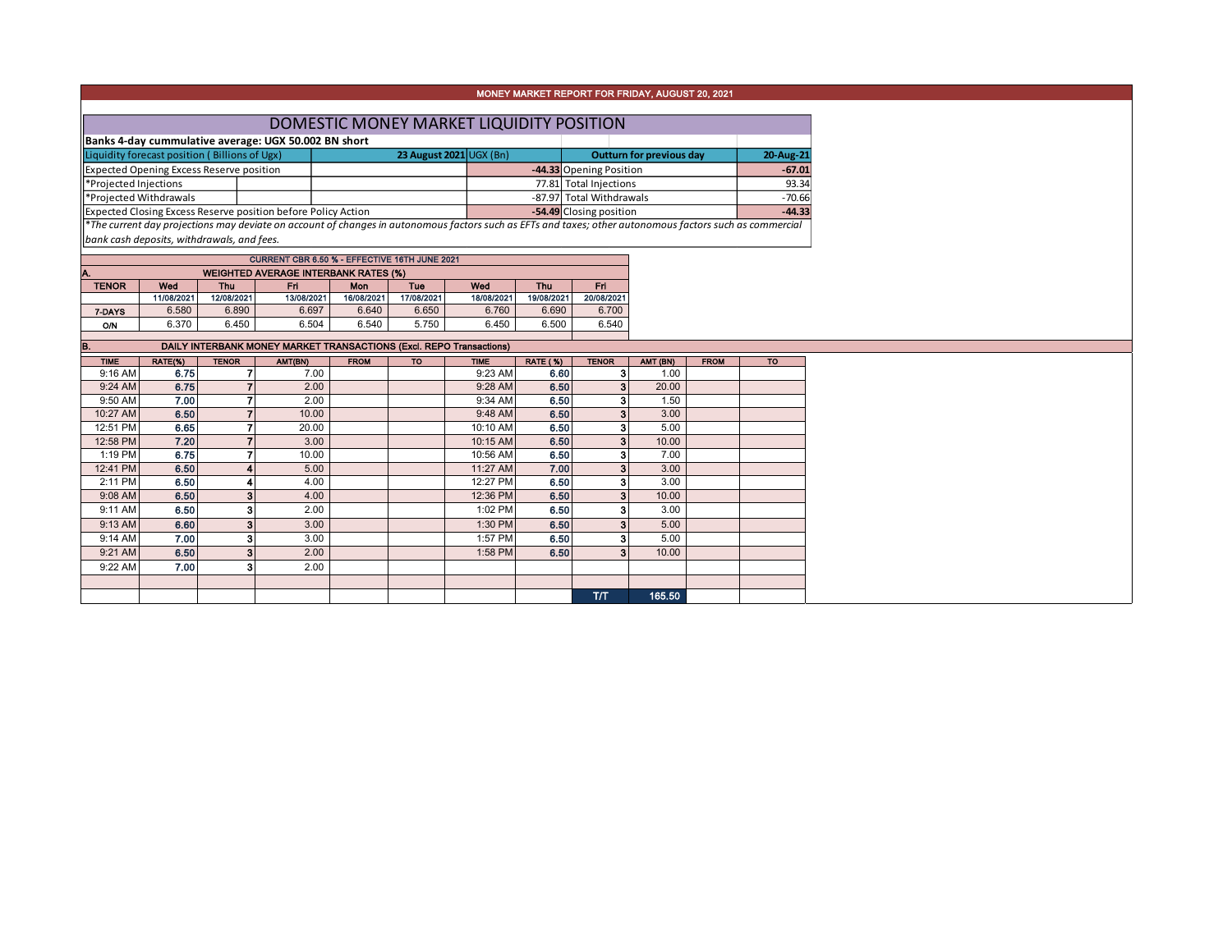## MONEY MARKET REPORT FOR FRIDAY, AUGUST 20, 2021

| DOMESTIC MONEY MARKET LIQUIDITY POSITION                      |  |  |                          |                          |  |          |  |  |  |  |  |
|---------------------------------------------------------------|--|--|--------------------------|--------------------------|--|----------|--|--|--|--|--|
| Banks 4-day cummulative average: UGX 50.002 BN short          |  |  |                          |                          |  |          |  |  |  |  |  |
| Liquidity forecast position (Billions of Ugx)                 |  |  | Outturn for previous day | 20-Aug-21                |  |          |  |  |  |  |  |
| Expected Opening Excess Reserve position                      |  |  |                          | -44.33 Opening Position  |  | $-67.01$ |  |  |  |  |  |
| Projected Injections                                          |  |  |                          | 77.81 Total Injections   |  | 93.34    |  |  |  |  |  |
| Projected Withdrawals                                         |  |  |                          | -87.97 Total Withdrawals |  | $-70.66$ |  |  |  |  |  |
| Expected Closing Excess Reserve position before Policy Action |  |  |                          | -54.49 Closing position  |  | $-44.33$ |  |  |  |  |  |

\**The current day projections may deviate on account of changes in autonomous factors such as EFTs and taxes; other autonomous factors such as commercial bank cash deposits, withdrawals, and fees.*

| CURRENT CBR 6.50 % - EFFECTIVE 16TH JUNE 2021      |                                               |            |            |            |            |            |            |            |  |  |  |  |  |
|----------------------------------------------------|-----------------------------------------------|------------|------------|------------|------------|------------|------------|------------|--|--|--|--|--|
| IA.<br><b>WEIGHTED AVERAGE INTERBANK RATES (%)</b> |                                               |            |            |            |            |            |            |            |  |  |  |  |  |
| <b>TENOR</b>                                       | Wed<br>Wod<br>Thu<br>Mon<br>Tue<br>Fri<br>Thu |            |            |            |            |            |            |            |  |  |  |  |  |
|                                                    | 11/08/2021                                    | 12/08/2021 | 13/08/2021 | 16/08/2021 | 17/08/2021 | 18/08/2021 | 19/08/2021 | 20/08/2021 |  |  |  |  |  |
| 7-DAYS                                             | 6.580                                         | 6.890      | 6.697      | 6.640      | 6.650      | 6.760      | 6.690      | 6.700      |  |  |  |  |  |
| O/N                                                | 6.370                                         | 6.450      | 6.504      | 6.540      | 5.750      | 6.450      | 6.500      | 6.540      |  |  |  |  |  |
|                                                    |                                               |            |            |            |            |            |            |            |  |  |  |  |  |

B. B. DAILY INTERBANK MONEY MARKET TRANSACTIONS (Excl. REPO Transactions)

| . .         |         |              | DAILT INTERDANN MUNET MARKET TRANSAUTIONS (EXCI. REFU TRIIS&CUOIS) |             |           |             |                 |              |          |             |           |
|-------------|---------|--------------|--------------------------------------------------------------------|-------------|-----------|-------------|-----------------|--------------|----------|-------------|-----------|
| <b>TIME</b> | RATE(%) | <b>TENOR</b> | AMT(BN)                                                            | <b>FROM</b> | <b>TO</b> | <b>TIME</b> | <b>RATE (%)</b> | <b>TENOR</b> | AMT (BN) | <b>FROM</b> | <b>TO</b> |
| 9:16 AM     | 6.75    |              | 7.00                                                               |             |           | 9:23 AM     | 6.60            |              | 1.00     |             |           |
| 9:24 AM     | 6.75    |              | 2.00                                                               |             |           | 9:28 AM     | 6.50            |              | 20.00    |             |           |
| 9:50 AM     | 7.00    |              | 2.00                                                               |             |           | 9:34 AM     | 6.50            |              | 1.50     |             |           |
| 10:27 AM    | 6.50    |              | 10.00                                                              |             |           | 9:48 AM     | 6.50            |              | 3.00     |             |           |
| 12:51 PM    | 6.65    |              | 20.00                                                              |             |           | 10:10 AM    | 6.50            |              | 5.00     |             |           |
| 12:58 PM    | 7.20    |              | 3.00                                                               |             |           | 10:15 AM    | 6.50            |              | 10.00    |             |           |
| 1:19 PM     | 6.75    |              | 10.00                                                              |             |           | 10:56 AM    | 6.50            |              | 7.00     |             |           |
| 12:41 PM    | 6.50    |              | 5.00                                                               |             |           | 11:27 AM    | 7.00            |              | 3.00     |             |           |
| 2:11 PM     | 6.50    |              | 4.00                                                               |             |           | 12:27 PM    | 6.50            |              | 3.00     |             |           |
| 9:08 AM     | 6.50    |              | 4.00                                                               |             |           | 12:36 PM    | 6.50            |              | 10.00    |             |           |
| 9:11 AM     | 6.50    | 3            | 2.00                                                               |             |           | 1:02 PM     | 6.50            |              | 3.00     |             |           |
| 9:13 AM     | 6,60    | 3            | 3.00                                                               |             |           | 1:30 PM     | 6.50            |              | 5.00     |             |           |
| 9:14 AM     | 7.00    | 3            | 3.00                                                               |             |           | 1:57 PM     | 6.50            |              | 5.00     |             |           |
| 9:21 AM     | 6.50    | 3            | 2.00                                                               |             |           | 1:58 PM     | 6.50            |              | 10.00    |             |           |
| 9:22 AM     | 7.00    | 3            | 2.00                                                               |             |           |             |                 |              |          |             |           |
|             |         |              |                                                                    |             |           |             |                 |              |          |             |           |
|             |         |              |                                                                    |             |           |             |                 | T/T          | 165,50   |             |           |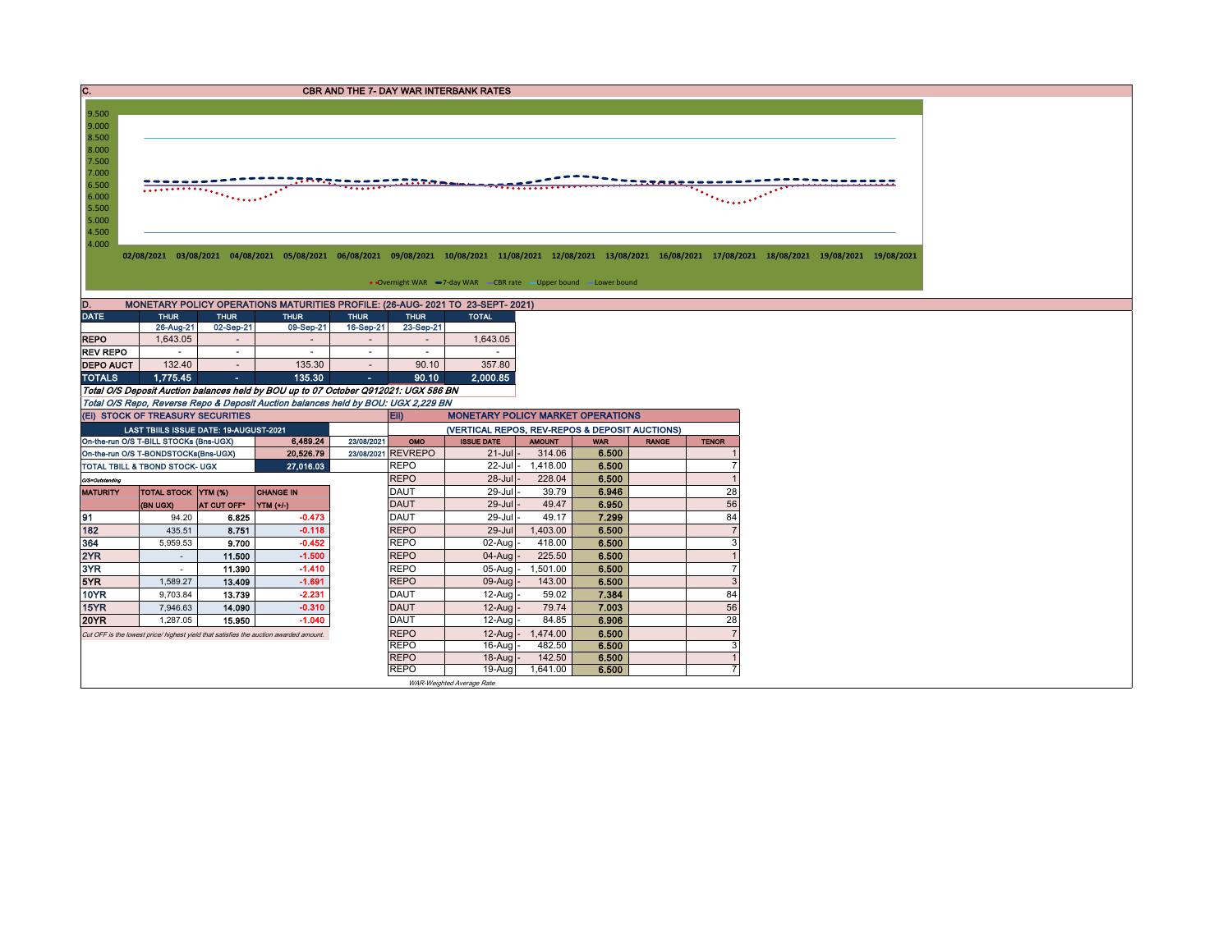| C.                                                                         |                                                                                  |                         |                                                                                                                                                                      |             |                            | <b>CBR AND THE 7- DAY WAR INTERBANK RATES</b>                       |                    |                |              |                  |  |
|----------------------------------------------------------------------------|----------------------------------------------------------------------------------|-------------------------|----------------------------------------------------------------------------------------------------------------------------------------------------------------------|-------------|----------------------------|---------------------------------------------------------------------|--------------------|----------------|--------------|------------------|--|
|                                                                            |                                                                                  |                         |                                                                                                                                                                      |             |                            |                                                                     |                    |                |              |                  |  |
| 9.500<br>9.000                                                             |                                                                                  |                         |                                                                                                                                                                      |             |                            |                                                                     |                    |                |              |                  |  |
| 8.500                                                                      |                                                                                  |                         |                                                                                                                                                                      |             |                            |                                                                     |                    |                |              |                  |  |
| 8.000                                                                      |                                                                                  |                         |                                                                                                                                                                      |             |                            |                                                                     |                    |                |              |                  |  |
| 7.500                                                                      |                                                                                  |                         |                                                                                                                                                                      |             |                            |                                                                     |                    |                |              |                  |  |
| 7.000                                                                      |                                                                                  |                         |                                                                                                                                                                      |             |                            |                                                                     |                    |                |              |                  |  |
| 6.500                                                                      |                                                                                  |                         |                                                                                                                                                                      |             |                            |                                                                     |                    |                |              |                  |  |
| 6.000<br>5.500                                                             |                                                                                  |                         |                                                                                                                                                                      |             |                            |                                                                     |                    |                |              | in a chuid an t- |  |
| 5.000                                                                      |                                                                                  |                         |                                                                                                                                                                      |             |                            |                                                                     |                    |                |              |                  |  |
| 4.500                                                                      |                                                                                  |                         |                                                                                                                                                                      |             |                            |                                                                     |                    |                |              |                  |  |
| 4.000                                                                      |                                                                                  |                         |                                                                                                                                                                      |             |                            |                                                                     |                    |                |              |                  |  |
|                                                                            |                                                                                  |                         | 02/08/2021 03/08/2021 04/08/2021 05/08/2021 06/08/2021 09/08/2021 10/08/2021 11/08/2021 12/08/2021 13/08/2021 16/08/2021 17/08/2021 18/08/2021 19/08/2021 19/08/2021 |             |                            |                                                                     |                    |                |              |                  |  |
|                                                                            |                                                                                  |                         |                                                                                                                                                                      |             |                            |                                                                     |                    |                |              |                  |  |
|                                                                            |                                                                                  |                         |                                                                                                                                                                      |             |                            | • Overnight WAR -7-day WAR - CBR rate - Upper bound - Lower bound   |                    |                |              |                  |  |
| D.                                                                         |                                                                                  |                         | MONETARY POLICY OPERATIONS MATURITIES PROFILE: (26-AUG- 2021 TO 23-SEPT- 2021)                                                                                       |             |                            |                                                                     |                    |                |              |                  |  |
| <b>DATE</b>                                                                | <b>THUR</b>                                                                      | <b>THUR</b>             | <b>THUR</b>                                                                                                                                                          | <b>THUR</b> | <b>THUR</b>                | <b>TOTAL</b>                                                        |                    |                |              |                  |  |
|                                                                            | 26-Aug-21                                                                        | 02-Sep-21               | 09-Sep-21                                                                                                                                                            | 16-Sep-21   | 23-Sep-21                  |                                                                     |                    |                |              |                  |  |
| <b>REPO</b>                                                                | 1,643.05                                                                         | $\sim$                  | $\sim$                                                                                                                                                               | $\sim$      | $\sim$                     | 1,643.05                                                            |                    |                |              |                  |  |
|                                                                            | $\sim$                                                                           | $\sim$                  | $\sim$                                                                                                                                                               | $\sim$      | $\sim$                     | $\sim$                                                              |                    |                |              |                  |  |
|                                                                            |                                                                                  |                         |                                                                                                                                                                      | $\sim$      | 90.10                      | 357.80                                                              |                    |                |              |                  |  |
|                                                                            | 132.40                                                                           | $\sim$                  | 135.30                                                                                                                                                               |             |                            |                                                                     |                    |                |              |                  |  |
|                                                                            | 1,775.45                                                                         | ъ.                      | 135.30                                                                                                                                                               | $\sim$      | 90.10                      | 2.000.85                                                            |                    |                |              |                  |  |
|                                                                            |                                                                                  |                         | Total O/S Deposit Auction balances held by BOU up to 07 October Q912021: UGX 586 BN                                                                                  |             |                            |                                                                     |                    |                |              |                  |  |
|                                                                            |                                                                                  |                         | Total O/S Repo, Reverse Repo & Deposit Auction balances held by BOU: UGX 2,229 BN                                                                                    |             |                            |                                                                     |                    |                |              |                  |  |
|                                                                            | (EI) STOCK OF TREASURY SECURITIES                                                |                         |                                                                                                                                                                      |             | Eii)                       | <b>MONETARY POLICY MARKET OPERATIONS</b>                            |                    |                |              |                  |  |
|                                                                            | LAST TBIILS ISSUE DATE: 19-AUGUST-2021<br>On-the-run O/S T-BILL STOCKs (Bns-UGX) |                         | 6,489.24                                                                                                                                                             | 23/08/2021  | OMO                        | (VERTICAL REPOS, REV-REPOS & DEPOSIT AUCTIONS)<br><b>ISSUE DATE</b> | <b>AMOUNT</b>      | <b>WAR</b>     | <b>RANGE</b> | <b>TENOR</b>     |  |
|                                                                            | On-the-run O/S T-BONDSTOCKs(Bns-UGX)                                             |                         | 20.526.79                                                                                                                                                            |             | 23/08/2021 REVREPO         | $21 -$ Jul                                                          | 314.06             | 6.500          |              |                  |  |
|                                                                            | TOTAL TBILL & TBOND STOCK- UGX                                                   |                         | 27,016.03                                                                                                                                                            |             | <b>REPO</b>                | $22$ -Jul-                                                          | 1,418.00           | 6.500          |              | $\overline{7}$   |  |
|                                                                            |                                                                                  |                         |                                                                                                                                                                      |             | <b>REPO</b>                | $28 -$ Jul                                                          | 228.04             | 6.500          |              |                  |  |
|                                                                            | <b>TOTAL STOCK YTM (%)</b>                                                       |                         | <b>CHANGE IN</b>                                                                                                                                                     |             | DAUT                       | 29-Jul                                                              | 39.79              | 6.946          |              | 28               |  |
|                                                                            | (BN UGX)                                                                         | AT CUT OFF <sup>®</sup> | YTM (+/-)                                                                                                                                                            |             | <b>DAUT</b>                | $29 -$ Jul                                                          | 49.47              | 6.950          |              | 56               |  |
|                                                                            | 94.20                                                                            | 6.825                   | $-0.473$                                                                                                                                                             |             | <b>DAUT</b>                | 29-Jul                                                              | 49.17              | 7.299          |              | 84               |  |
|                                                                            | 435.51                                                                           | 8.751                   | $-0.118$                                                                                                                                                             |             | <b>REPO</b>                | 29-Jul                                                              | 1,403.00           | 6.500          |              | $\overline{7}$   |  |
|                                                                            | 5,959.53                                                                         | 9.700                   | $-0.452$                                                                                                                                                             |             | <b>REPO</b>                | $02$ -Aug                                                           | 418.00             | 6.500          |              | 3                |  |
| <b>REV REPO</b><br>O/S=Outstanding<br><b>MATURITY</b>                      | $\sim$                                                                           | 11.500                  | $-1.500$                                                                                                                                                             |             | <b>REPO</b>                | $04-Auq$                                                            | 225.50             | 6.500          |              |                  |  |
|                                                                            | $\sim$                                                                           | 11.390                  | $-1.410$                                                                                                                                                             |             | <b>REPO</b>                | $05-Auq$                                                            | 1,501.00           | 6.500          |              | $\overline{7}$   |  |
| <b>DEPO AUCT</b><br><b>TOTALS</b><br>91<br>182<br>364<br>2YR<br>3YR<br>5YR | 1,589.27                                                                         | 13.409                  | $-1.691$                                                                                                                                                             |             | <b>REPO</b>                | $09-Auq$                                                            | 143.00             | 6.500          |              | $\mathbf{3}$     |  |
| <b>10YR</b>                                                                | 9,703.84                                                                         | 13.739                  | $-2.231$                                                                                                                                                             |             | <b>DAUT</b>                | 12-Aug                                                              | 59.02              | 7.384          |              | 84               |  |
| 15YR                                                                       | 7,946.63                                                                         | 14.090                  | $-0.310$                                                                                                                                                             |             | <b>DAUT</b>                | 12-Aug                                                              | 79.74              | 7.003          |              | 56               |  |
| <b>20YR</b>                                                                | 1.287.05                                                                         | 15.950                  | $-1.040$                                                                                                                                                             |             | <b>DAUT</b>                | 12-Aug                                                              | 84.85              | 6.906          |              | 28               |  |
|                                                                            |                                                                                  |                         | Cut OFF is the lowest price/ highest yield that satisfies the auction awarded amount.                                                                                |             | <b>REPO</b>                | 12-Aug                                                              | 1,474.00           | 6.500          |              | $\overline{7}$   |  |
|                                                                            |                                                                                  |                         |                                                                                                                                                                      |             | <b>REPO</b>                | 16-Aug                                                              | 482.50             | 6.500          |              | 3                |  |
|                                                                            |                                                                                  |                         |                                                                                                                                                                      |             | <b>REPO</b><br><b>REPO</b> | 18-Aug<br>19-Aug                                                    | 142.50<br>1,641.00 | 6.500<br>6.500 |              | $\overline{7}$   |  |